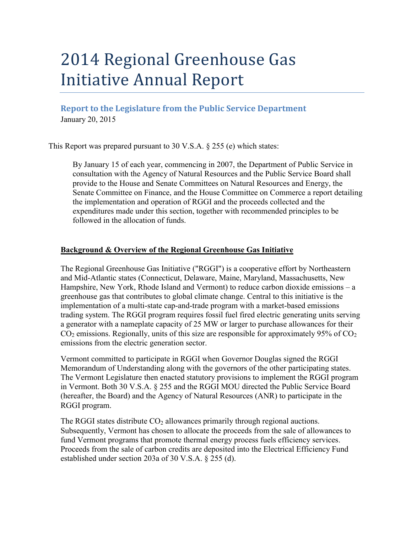# 2014 Regional Greenhouse Gas Initiative Annual Report

**Report to the Legislature from the Public Service Department** January 20, 2015

This Report was prepared pursuant to 30 V.S.A. § 255 (e) which states:

By January 15 of each year, commencing in 2007, the Department of Public Service in consultation with the Agency of Natural Resources and the Public Service Board shall provide to the House and Senate Committees on Natural Resources and Energy, the Senate Committee on Finance, and the House Committee on Commerce a report detailing the implementation and operation of RGGI and the proceeds collected and the expenditures made under this section, together with recommended principles to be followed in the allocation of funds.

## **Background & Overview of the Regional Greenhouse Gas Initiative**

The Regional Greenhouse Gas Initiative ("RGGI") is a cooperative effort by Northeastern and Mid-Atlantic states (Connecticut, Delaware, Maine, Maryland, Massachusetts, New Hampshire, New York, Rhode Island and Vermont) to reduce carbon dioxide emissions – a greenhouse gas that contributes to global climate change. Central to this initiative is the implementation of a multi-state cap-and-trade program with a market-based emissions trading system. The RGGI program requires fossil fuel fired electric generating units serving a generator with a nameplate capacity of 25 MW or larger to purchase allowances for their  $CO<sub>2</sub>$  emissions. Regionally, units of this size are responsible for approximately 95% of  $CO<sub>2</sub>$ emissions from the electric generation sector.

Vermont committed to participate in RGGI when Governor Douglas signed the RGGI Memorandum of Understanding along with the governors of the other participating states. The Vermont Legislature then enacted statutory provisions to implement the RGGI program in Vermont. Both 30 V.S.A. § 255 and the RGGI MOU directed the Public Service Board (hereafter, the Board) and the Agency of Natural Resources (ANR) to participate in the RGGI program.

The RGGI states distribute  $CO<sub>2</sub>$  allowances primarily through regional auctions. Subsequently, Vermont has chosen to allocate the proceeds from the sale of allowances to fund Vermont programs that promote thermal energy process fuels efficiency services. Proceeds from the sale of carbon credits are deposited into the Electrical Efficiency Fund established under section 203a of 30 V.S.A. § 255 (d).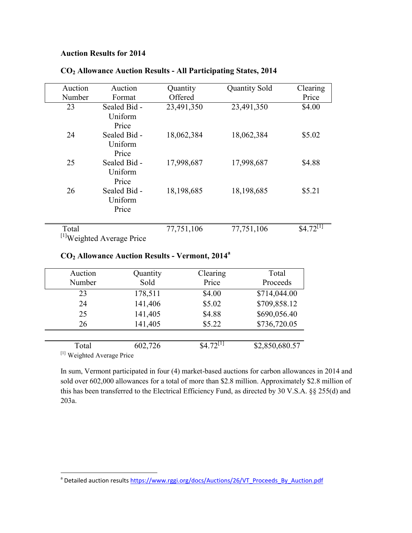### **Auction Results for 2014**

| Auction                               | Auction      | Quantity   | <b>Quantity Sold</b> | Clearing               |  |
|---------------------------------------|--------------|------------|----------------------|------------------------|--|
| Number                                | Format       | Offered    |                      | Price                  |  |
| 23                                    | Sealed Bid - | 23,491,350 | 23,491,350           | \$4.00                 |  |
|                                       | Uniform      |            |                      |                        |  |
|                                       | Price        |            |                      |                        |  |
| 24                                    | Sealed Bid - | 18,062,384 | 18,062,384           | \$5.02                 |  |
|                                       | Uniform      |            |                      |                        |  |
|                                       | Price        |            |                      |                        |  |
| 25                                    | Sealed Bid - | 17,998,687 | 17,998,687           | \$4.88                 |  |
|                                       | Uniform      |            |                      |                        |  |
|                                       | Price        |            |                      |                        |  |
| 26                                    | Sealed Bid - | 18,198,685 | 18,198,685           | \$5.21                 |  |
|                                       | Uniform      |            |                      |                        |  |
|                                       | Price        |            |                      |                        |  |
|                                       |              |            |                      |                        |  |
| Total                                 |              | 77,751,106 | 77,751,106           | $$4.72$ <sup>[T]</sup> |  |
| <sup>[1]</sup> Weighted Average Price |              |            |                      |                        |  |

## **CO<sup>2</sup> Allowance Auction Results - All Participating States, 2014**

## **CO<sup>2</sup> Allowance Auction Results - Vermont, 2014<sup>a</sup>**

| Auction<br>Number          | Quantity<br>Sold | Clearing<br>Price      | Total<br>Proceeds |  |  |
|----------------------------|------------------|------------------------|-------------------|--|--|
| 23                         | 178,511          | \$4.00                 | \$714,044.00      |  |  |
| 24                         | 141,406          | \$5.02                 | \$709,858.12      |  |  |
| 25                         | 141,405          | \$4.88                 | \$690,056.40      |  |  |
| 26                         | 141,405          | \$5.22                 | \$736,720.05      |  |  |
|                            |                  |                        |                   |  |  |
| Total                      | 602,726          | $$4.72$ <sup>[I]</sup> | \$2,850,680.57    |  |  |
| [1] Weighted Average Price |                  |                        |                   |  |  |

In sum, Vermont participated in four (4) market-based auctions for carbon allowances in 2014 and sold over 602,000 allowances for a total of more than \$2.8 million. Approximately \$2.8 million of this has been transferred to the Electrical Efficiency Fund, as directed by 30 V.S.A. §§ 255(d) and 203a.

a<br>Petailed auction results [https://www.rggi.org/docs/Auctions/26/VT\\_Proceeds\\_By\\_Auction.pdf](https://www.rggi.org/docs/Auctions/26/VT_Proceeds_By_Auction.pdf)